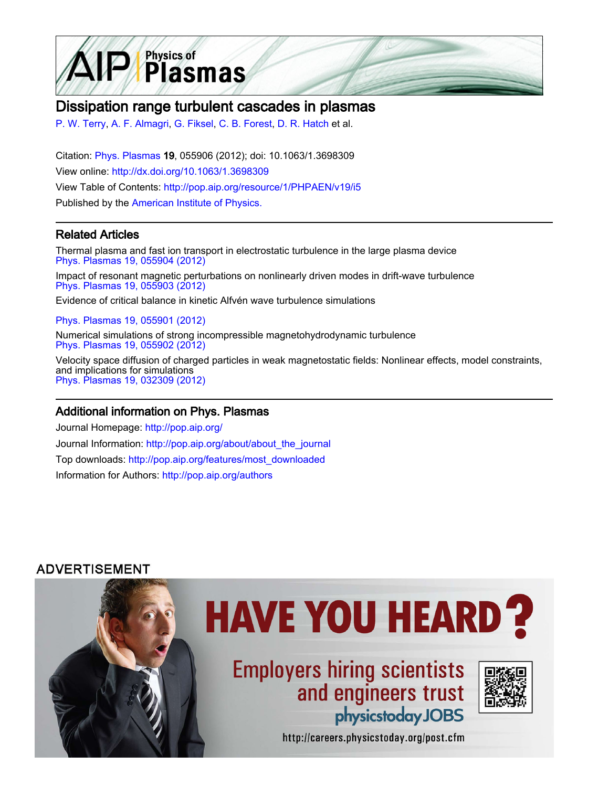

# Dissipation range turbulent cascades in plasmas

P. W. Terry, A. F. Almagri, G. Fiksel, C. B. Forest, D. R. Hatch et al.

Citation: Phys. Plasmas 19, 055906 (2012); doi: 10.1063/1.3698309 View online: http://dx.doi.org/10.1063/1.3698309 View Table of Contents: http://pop.aip.org/resource/1/PHPAEN/v19/i5 Published by the American Institute of Physics.

## **Related Articles**

Thermal plasma and fast ion transport in electrostatic turbulence in the large plasma device Phys. Plasmas 19, 055904 (2012)

Impact of resonant magnetic perturbations on nonlinearly driven modes in drift-wave turbulence Phys. Plasmas 19, 055903 (2012)

Evidence of critical balance in kinetic Alfvén wave turbulence simulations

Phys. Plasmas 19, 055901 (2012)

Numerical simulations of strong incompressible magnetohydrodynamic turbulence Phys. Plasmas 19, 055902 (2012)

Velocity space diffusion of charged particles in weak magnetostatic fields: Nonlinear effects, model constraints, and implications for simulations Phys. Plasmas 19, 032309 (2012)

## Additional information on Phys. Plasmas

Journal Homepage: http://pop.aip.org/ Journal Information: http://pop.aip.org/about/about the journal Top downloads: http://pop.aip.org/features/most downloaded Information for Authors: http://pop.aip.org/authors

## **ADVERTISEMENT**

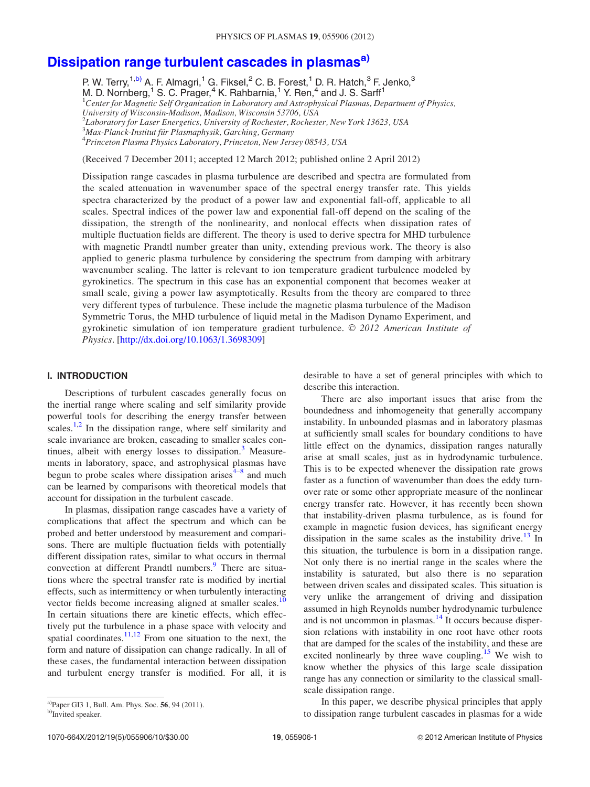## [Dissipation range turbulent cascades in plasmas](http://dx.doi.org/10.1063/1.3698309)<sup>a)</sup>

P. W. Terry,<sup>1,b)</sup> A. F. Almagri,<sup>1</sup> G. Fiksel,<sup>2</sup> C. B. Forest,<sup>1</sup> D. R. Hatch,<sup>3</sup> F. Jenko,<sup>3</sup> M. D. Nornberg,<sup>1</sup> S. C. Prager,<sup>4</sup> K. Rahbarnia,<sup>1</sup> Y. Ren,<sup>4</sup> and J. S. Sarff<sup>1</sup> <sup>1</sup>Center for Magnetic Self Organization in Laboratory and Astrophysical Plasmas, Department of Physics, University of Wisconsin-Madison, Madison, Wisconsin 53706, USA <sup>2</sup>Laboratory for Laser Energetics, University of Rochester, Rochester, New York 13623, USA <sup>3</sup> Max-Planck-Institut für Plasmaphysik, Garching, Germany<br><sup>4</sup> Princeton Plasma Physics Laboratory, Princeton, New Jarr <sup>4</sup>Princeton Plasma Physics Laboratory, Princeton, New Jersey 08543, USA

(Received 7 December 2011; accepted 12 March 2012; published online 2 April 2012)

Dissipation range cascades in plasma turbulence are described and spectra are formulated from the scaled attenuation in wavenumber space of the spectral energy transfer rate. This yields spectra characterized by the product of a power law and exponential fall-off, applicable to all scales. Spectral indices of the power law and exponential fall-off depend on the scaling of the dissipation, the strength of the nonlinearity, and nonlocal effects when dissipation rates of multiple fluctuation fields are different. The theory is used to derive spectra for MHD turbulence with magnetic Prandtl number greater than unity, extending previous work. The theory is also applied to generic plasma turbulence by considering the spectrum from damping with arbitrary wavenumber scaling. The latter is relevant to ion temperature gradient turbulence modeled by gyrokinetics. The spectrum in this case has an exponential component that becomes weaker at small scale, giving a power law asymptotically. Results from the theory are compared to three very different types of turbulence. These include the magnetic plasma turbulence of the Madison Symmetric Torus, the MHD turbulence of liquid metal in the Madison Dynamo Experiment, and gyrokinetic simulation of ion temperature gradient turbulence.  $\oslash$  2012 American Institute of Physics. [[http://dx.doi.org/10.1063/1.3698309\]](http://dx.doi.org/10.1063/1.3698309)

## I. INTRODUCTION

Descriptions of turbulent cascades generally focus on the inertial range where scaling and self similarity provide powerful tools for describing the energy transfer between scales.<sup>[1,2](#page-9-0)</sup> In the dissipation range, where self similarity and scale invariance are broken, cascading to smaller scales continues, albeit with energy losses to dissipation. $3$  Measurements in laboratory, space, and astrophysical plasmas have begun to probe scales where dissipation arises $4-8$  and much can be learned by comparisons with theoretical models that account for dissipation in the turbulent cascade.

In plasmas, dissipation range cascades have a variety of complications that affect the spectrum and which can be probed and better understood by measurement and comparisons. There are multiple fluctuation fields with potentially different dissipation rates, similar to what occurs in thermal convection at different Prandtl numbers.<sup>[9](#page-10-0)</sup> There are situations where the spectral transfer rate is modified by inertial effects, such as intermittency or when turbulently interacting vector fields become increasing aligned at smaller scales.<sup>10</sup> In certain situations there are kinetic effects, which effectively put the turbulence in a phase space with velocity and spatial coordinates.<sup>[11,12](#page-10-0)</sup> From one situation to the next, the form and nature of dissipation can change radically. In all of these cases, the fundamental interaction between dissipation and turbulent energy transfer is modified. For all, it is

desirable to have a set of general principles with which to describe this interaction.

There are also important issues that arise from the boundedness and inhomogeneity that generally accompany instability. In unbounded plasmas and in laboratory plasmas at sufficiently small scales for boundary conditions to have little effect on the dynamics, dissipation ranges naturally arise at small scales, just as in hydrodynamic turbulence. This is to be expected whenever the dissipation rate grows faster as a function of wavenumber than does the eddy turnover rate or some other appropriate measure of the nonlinear energy transfer rate. However, it has recently been shown that instability-driven plasma turbulence, as is found for example in magnetic fusion devices, has significant energy dissipation in the same scales as the instability drive. $^{13}$  $^{13}$  $^{13}$  In this situation, the turbulence is born in a dissipation range. Not only there is no inertial range in the scales where the instability is saturated, but also there is no separation between driven scales and dissipated scales. This situation is very unlike the arrangement of driving and dissipation assumed in high Reynolds number hydrodynamic turbulence and is not uncommon in plasmas.<sup>[14](#page-10-0)</sup> It occurs because dispersion relations with instability in one root have other roots that are damped for the scales of the instability, and these are excited nonlinearly by three wave coupling.<sup>[15](#page-10-0)</sup> We wish to know whether the physics of this large scale dissipation range has any connection or similarity to the classical smallscale dissipation range.

In this paper, we describe physical principles that apply to dissipation range turbulent cascades in plasmas for a wide

a)Paper GI3 1, Bull. Am. Phys. Soc. 56, 94 (2011).

b)Invited speaker.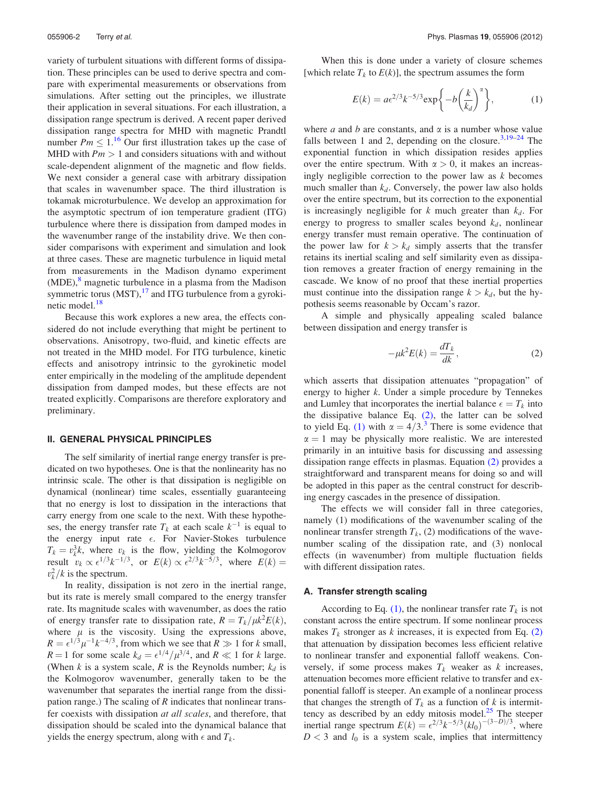<span id="page-2-0"></span>variety of turbulent situations with different forms of dissipation. These principles can be used to derive spectra and compare with experimental measurements or observations from simulations. After setting out the principles, we illustrate their application in several situations. For each illustration, a dissipation range spectrum is derived. A recent paper derived dissipation range spectra for MHD with magnetic Prandtl number  $Pm \leq 1$ .<sup>[16](#page-10-0)</sup> Our first illustration takes up the case of MHD with  $Pm > 1$  and considers situations with and without scale-dependent alignment of the magnetic and flow fields. We next consider a general case with arbitrary dissipation that scales in wavenumber space. The third illustration is tokamak microturbulence. We develop an approximation for the asymptotic spectrum of ion temperature gradient (ITG) turbulence where there is dissipation from damped modes in the wavenumber range of the instability drive. We then consider comparisons with experiment and simulation and look at three cases. These are magnetic turbulence in liquid metal from measurements in the Madison dynamo experiment  $(MDE)$ <sup>[8](#page-10-0)</sup> magnetic turbulence in a plasma from the Madison symmetric torus  $(MST)$ ,<sup>[17](#page-10-0)</sup> and ITG turbulence from a gyroki-netic model.<sup>[18](#page-10-0)</sup>

Because this work explores a new area, the effects considered do not include everything that might be pertinent to observations. Anisotropy, two-fluid, and kinetic effects are not treated in the MHD model. For ITG turbulence, kinetic effects and anisotropy intrinsic to the gyrokinetic model enter empirically in the modeling of the amplitude dependent dissipation from damped modes, but these effects are not treated explicitly. Comparisons are therefore exploratory and preliminary.

#### II. GENERAL PHYSICAL PRINCIPLES

The self similarity of inertial range energy transfer is predicated on two hypotheses. One is that the nonlinearity has no intrinsic scale. The other is that dissipation is negligible on dynamical (nonlinear) time scales, essentially guaranteeing that no energy is lost to dissipation in the interactions that carry energy from one scale to the next. With these hypotheses, the energy transfer rate  $T_k$  at each scale  $k^{-1}$  is equal to the energy input rate  $\epsilon$ . For Navier-Stokes turbulence  $T_k = v_k^3 k$ , where  $v_k$  is the flow, yielding the Kolmogorov result  $v_k \propto \epsilon^{1/3} k^{-1/3}$ , or  $E(k) \propto \epsilon^{2/3} k^{-5/3}$ , where  $E(k) =$  $v_k^2/k$  is the spectrum.

In reality, dissipation is not zero in the inertial range, but its rate is merely small compared to the energy transfer rate. Its magnitude scales with wavenumber, as does the ratio of energy transfer rate to dissipation rate,  $R = T_k / \mu k^2 E(k)$ , where  $\mu$  is the viscosity. Using the expressions above,  $R = \epsilon^{1/3} \mu^{-1} k^{-4/3}$ , from which we see that  $R \gg 1$  for k small,  $R = 1$  for some scale  $k_d = \frac{\epsilon^{1/4}}{\mu^{3/4}}$ , and  $R \ll 1$  for k large. (When k is a system scale, R is the Reynolds number;  $k_d$  is the Kolmogorov wavenumber, generally taken to be the wavenumber that separates the inertial range from the dissipation range.) The scaling of  *indicates that nonlinear trans*fer coexists with dissipation at all scales, and therefore, that dissipation should be scaled into the dynamical balance that yields the energy spectrum, along with  $\epsilon$  and  $T_k$ .

When this is done under a variety of closure schemes [which relate  $T_k$  to  $E(k)$ ], the spectrum assumes the form

$$
E(k) = a\epsilon^{2/3}k^{-5/3}\exp\bigg\{-b\bigg(\frac{k}{k_d}\bigg)^{\alpha}\bigg\},\tag{1}
$$

where  $a$  and  $b$  are constants, and  $\alpha$  is a number whose value falls between 1 and 2, depending on the closure.<sup>[3,19](#page-10-0)–[24](#page-10-0)</sup> The exponential function in which dissipation resides applies over the entire spectrum. With  $\alpha > 0$ , it makes an increasingly negligible correction to the power law as  $k$  becomes much smaller than  $k_d$ . Conversely, the power law also holds over the entire spectrum, but its correction to the exponential is increasingly negligible for k much greater than  $k_d$ . For energy to progress to smaller scales beyond  $k_d$ , nonlinear energy transfer must remain operative. The continuation of the power law for  $k > k_d$  simply asserts that the transfer retains its inertial scaling and self similarity even as dissipation removes a greater fraction of energy remaining in the cascade. We know of no proof that these inertial properties must continue into the dissipation range  $k > k_d$ , but the hypothesis seems reasonable by Occam's razor.

A simple and physically appealing scaled balance between dissipation and energy transfer is

$$
-\mu k^2 E(k) = \frac{dT_k}{dk},\qquad(2)
$$

which asserts that dissipation attenuates "propagation" of energy to higher  $k$ . Under a simple procedure by Tennekes and Lumley that incorporates the inertial balance  $\epsilon = T_k$  into the dissipative balance Eq.  $(2)$ , the latter can be solved to yield Eq. (1) with  $\alpha = 4/3$  $\alpha = 4/3$ .<sup>3</sup> There is some evidence that  $\alpha = 1$  may be physically more realistic. We are interested primarily in an intuitive basis for discussing and assessing dissipation range effects in plasmas. Equation (2) provides a straightforward and transparent means for doing so and will be adopted in this paper as the central construct for describing energy cascades in the presence of dissipation.

The effects we will consider fall in three categories, namely (1) modifications of the wavenumber scaling of the nonlinear transfer strength  $T_k$ , (2) modifications of the wavenumber scaling of the dissipation rate, and (3) nonlocal effects (in wavenumber) from multiple fluctuation fields with different dissipation rates.

#### A. Transfer strength scaling

According to Eq. (1), the nonlinear transfer rate  $T_k$  is not constant across the entire spectrum. If some nonlinear process makes  $T_k$  stronger as k increases, it is expected from Eq. (2) that attenuation by dissipation becomes less efficient relative to nonlinear transfer and exponential falloff weakens. Conversely, if some process makes  $T_k$  weaker as k increases, attenuation becomes more efficient relative to transfer and exponential falloff is steeper. An example of a nonlinear process that changes the strength of  $T_k$  as a function of k is intermittency as described by an eddy mitosis model. $^{25}$  The steeper inertial range spectrum  $E(k) = \epsilon^{2/3} k^{-5/3} (kl_0)^{-(3-D)/3}$ , where  $D < 3$  and  $l_0$  is a system scale, implies that intermittency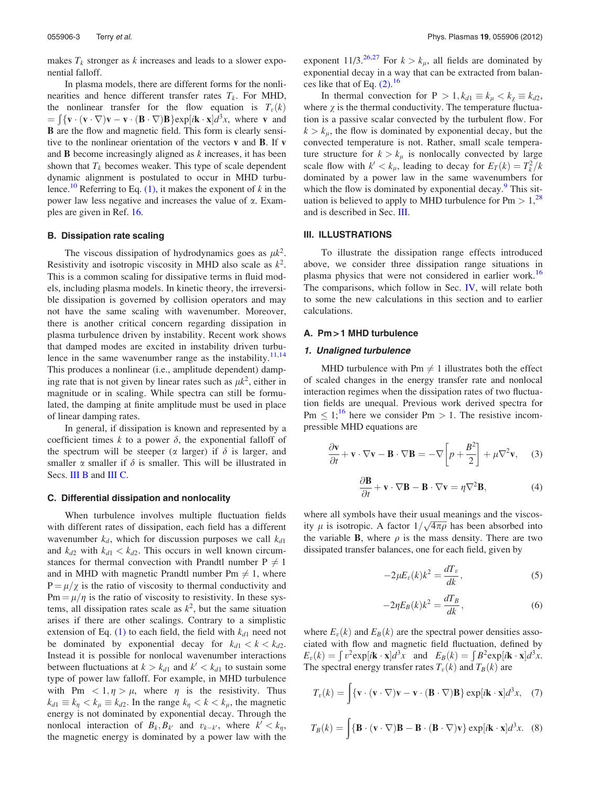<span id="page-3-0"></span>makes  $T_k$  stronger as k increases and leads to a slower exponential falloff.

In plasma models, there are different forms for the nonlinearities and hence different transfer rates  $T_k$ . For MHD, the nonlinear transfer for the flow equation is  $T_v(k)$  $= \int {\mathbf{v} \cdot (\mathbf{v} \cdot \nabla) \mathbf{v} - \mathbf{v} \cdot (\mathbf{B} \cdot \nabla) \mathbf{B}} \exp[i\mathbf{k} \cdot \mathbf{x}] \, d^3x$ , where v and B are the flow and magnetic field. This form is clearly sensitive to the nonlinear orientation of the vectors v and B. If v and **B** become increasingly aligned as  $k$  increases, it has been shown that  $T_k$  becomes weaker. This type of scale dependent dynamic alignment is postulated to occur in MHD turbu-lence.<sup>10</sup> Referring to Eq. [\(1\)](#page-2-0), it makes the exponent of k in the power law less negative and increases the value of  $\alpha$ . Examples are given in Ref. [16](#page-10-0).

### B. Dissipation rate scaling

The viscous dissipation of hydrodynamics goes as  $\mu k^2$ . Resistivity and isotropic viscosity in MHD also scale as  $k^2$ . This is a common scaling for dissipative terms in fluid models, including plasma models. In kinetic theory, the irreversible dissipation is governed by collision operators and may not have the same scaling with wavenumber. Moreover, there is another critical concern regarding dissipation in plasma turbulence driven by instability. Recent work shows that damped modes are excited in instability driven turbu-lence in the same wavenumber range as the instability.<sup>[11,14](#page-10-0)</sup> This produces a nonlinear (i.e., amplitude dependent) damping rate that is not given by linear rates such as  $\mu k^2$ , either in magnitude or in scaling. While spectra can still be formulated, the damping at finite amplitude must be used in place of linear damping rates.

In general, if dissipation is known and represented by a coefficient times k to a power  $\delta$ , the exponential falloff of the spectrum will be steeper ( $\alpha$  larger) if  $\delta$  is larger, and smaller  $\alpha$  smaller if  $\delta$  is smaller. This will be illustrated in Secs. III B and III C.

#### C. Differential dissipation and nonlocality

When turbulence involves multiple fluctuation fields with different rates of dissipation, each field has a different wavenumber  $k_d$ , which for discussion purposes we call  $k_{d1}$ and  $k_{d2}$  with  $k_{d1} < k_{d2}$ . This occurs in well known circumstances for thermal convection with Prandtl number  $P \neq 1$ and in MHD with magnetic Prandtl number Pm  $\neq$  1, where  $P = \mu/\chi$  is the ratio of viscosity to thermal conductivity and  $Pm = \mu/\eta$  is the ratio of viscosity to resistivity. In these systems, all dissipation rates scale as  $k^2$ , but the same situation arises if there are other scalings. Contrary to a simplistic extension of Eq. [\(1\)](#page-2-0) to each field, the field with  $k_{d1}$  need not be dominated by exponential decay for  $k_{d1} < k < k_{d2}$ . Instead it is possible for nonlocal wavenumber interactions between fluctuations at  $k > k_{d1}$  and  $k' < k_{d1}$  to sustain some type of power law falloff. For example, in MHD turbulence with Pm  $\langle 1, \eta \rangle \mu$ , where  $\eta$  is the resistivity. Thus  $k_{d1} \equiv k_{\eta} < k_{\mu} \equiv k_{d2}$ . In the range  $k_{\eta} < k < k_{\mu}$ , the magnetic energy is not dominated by exponential decay. Through the nonlocal interaction of  $B_k, B_{k'}$  and  $v_{k-k'}$ , where  $k' < k_n$ , the magnetic energy is dominated by a power law with the exponent 11/3.<sup>[26,27](#page-10-0)</sup> For  $k > k_{\mu}$ , all fields are dominated by exponential decay in a way that can be extracted from balances like that of Eq.  $(2)$ .<sup>[16](#page-10-0)</sup>

In thermal convection for  $P > 1$ ,  $k_{d1} \equiv k_{\mu} < k_{\gamma} \equiv k_{d2}$ , where  $\chi$  is the thermal conductivity. The temperature fluctuation is a passive scalar convected by the turbulent flow. For  $k > k_{\mu}$ , the flow is dominated by exponential decay, but the convected temperature is not. Rather, small scale temperature structure for  $k > k_{\mu}$  is nonlocally convected by large scale flow with  $k' < k_{\mu}$ , leading to decay for  $E_T(k) = T_k^2/k$ dominated by a power law in the same wavenumbers for which the flow is dominated by exponential decay. $9$  This situation is believed to apply to MHD turbulence for  $Pm > 1$ ,<sup>28</sup> and is described in Sec. III.

### III. ILLUSTRATIONS

To illustrate the dissipation range effects introduced above, we consider three dissipation range situations in plasma physics that were not considered in earlier work.<sup>16</sup> The comparisons, which follow in Sec. [IV](#page-7-0), will relate both to some the new calculations in this section and to earlier calculations.

### A. Pm > 1 MHD turbulence

#### 1. Unaligned turbulence

MHD turbulence with Pm  $\neq$  1 illustrates both the effect of scaled changes in the energy transfer rate and nonlocal interaction regimes when the dissipation rates of two fluctuation fields are unequal. Previous work derived spectra for Pm  $\leq 1$ ;<sup>16</sup> here we consider Pm  $> 1$ . The resistive incompressible MHD equations are

$$
\frac{\partial \mathbf{v}}{\partial t} + \mathbf{v} \cdot \nabla \mathbf{v} - \mathbf{B} \cdot \nabla \mathbf{B} = -\nabla \left[ p + \frac{B^2}{2} \right] + \mu \nabla^2 \mathbf{v}, \quad (3)
$$

$$
\frac{\partial \mathbf{B}}{\partial t} + \mathbf{v} \cdot \nabla \mathbf{B} - \mathbf{B} \cdot \nabla \mathbf{v} = \eta \nabla^2 \mathbf{B},\tag{4}
$$

where all symbols have their usual meanings and the viscosity  $\mu$  is isotropic. A factor  $1/\sqrt{4\pi\rho}$  has been absorbed into the variable **B**, where  $\rho$  is the mass density. There are two dissipated transfer balances, one for each field, given by

$$
-2\mu E_v(k)k^2 = \frac{dT_v}{dk},\qquad(5)
$$

$$
-2\eta E_B(k)k^2 = \frac{dT_B}{dk},\tag{6}
$$

where  $E_{v}(k)$  and  $E_{B}(k)$  are the spectral power densities associated with flow and magnetic field fluctuation, defined by  $E_v(k) = \int v^2 \exp[i\mathbf{k} \cdot \mathbf{x}] d^3x$  and  $E_B(k) = \int B^2 \exp[i\mathbf{k} \cdot \mathbf{x}] d^3x$ . The spectral energy transfer rates  $T_v(k)$  and  $T_B(k)$  are

$$
T_v(k) = \int {\mathbf{v} \cdot (\mathbf{v} \cdot \nabla)\mathbf{v} - \mathbf{v} \cdot (\mathbf{B} \cdot \nabla)\mathbf{B}} \exp[i\mathbf{k} \cdot \mathbf{x}]d^3x, \quad (7)
$$

$$
T_B(k) = \int {\mathbf{B} \cdot (\mathbf{v} \cdot \nabla)\mathbf{B} - \mathbf{B} \cdot (\mathbf{B} \cdot \nabla)\mathbf{v}} \exp[i\mathbf{k} \cdot \mathbf{x}]d^3x. \quad (8)
$$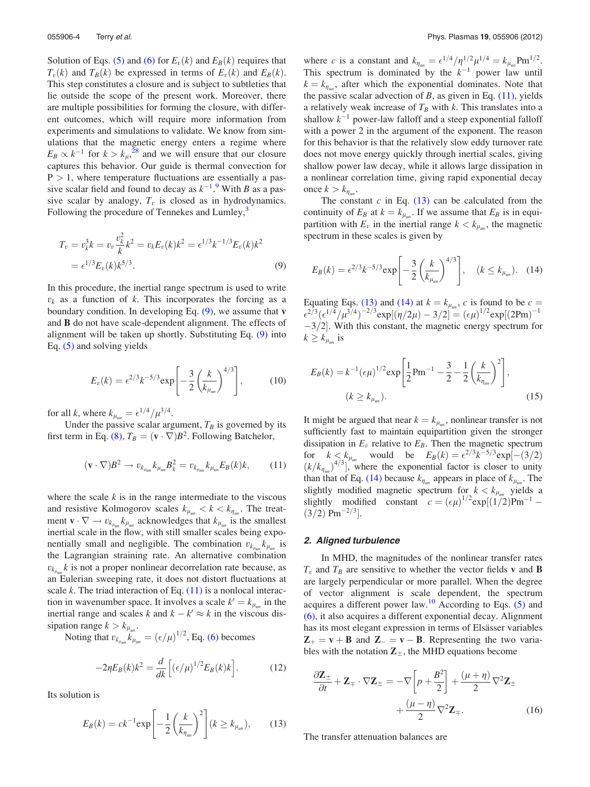<span id="page-4-0"></span>Solution of Eqs. [\(5\)](#page-3-0) and [\(6\)](#page-3-0) for  $E_v(k)$  and  $E_B(k)$  requires that  $T_v(k)$  and  $T_B(k)$  be expressed in terms of  $E_v(k)$  and  $E_B(k)$ . This step constitutes a closure and is subject to subtleties that lie outside the scope of the present work. Moreover, there are multiple possibilities for forming the closure, with different outcomes, which will require more information from experiments and simulations to validate. We know from simulations that the magnetic energy enters a regime where  $E_B \propto k^{-1}$  for  $k > k_\mu$ ,  $\frac{28}{3}$  $\frac{28}{3}$  $\frac{28}{3}$  and we will ensure that our closure captures this behavior. Our guide is thermal convection for  $P > 1$ , where temperature fluctuations are essentially a passive scalar field and found to decay as  $k^{-1}$ .<sup>[9](#page-10-0)</sup> With B as a passive scalar by analogy,  $T_v$  is closed as in hydrodynamics. Following the procedure of Tennekes and Lumley, $3$ 

$$
T_v = v_k^3 k = v_v \frac{v_k^2}{k} k^2 = v_k E_v(k) k^2 = \epsilon^{1/3} k^{-1/3} E_v(k) k^2
$$
  
=  $\epsilon^{1/3} E_v(k) k^{5/3}$ . (9)

In this procedure, the inertial range spectrum is used to write  $v_k$  as a function of k. This incorporates the forcing as a boundary condition. In developing Eq.  $(9)$ , we assume that v and B do not have scale-dependent alignment. The effects of alignment will be taken up shortly. Substituting Eq. (9) into Eq. [\(5\)](#page-3-0) and solving yields

$$
E_v(k) = \epsilon^{2/3} k^{-5/3} \exp\left[-\frac{3}{2} \left(\frac{k}{k_{\mu_{un}}} \right)^{4/3} \right],
$$
 (10)

for all k, where  $k_{\mu_{un}} = \frac{\epsilon^{1/4}}{\mu^{3/4}}$ .

Under the passive scalar argument,  $T_B$  is governed by its first term in Eq. [\(8\),](#page-3-0)  $T_B = (\mathbf{v} \cdot \nabla)B^2$ . Following Batchelor,

$$
(\mathbf{v} \cdot \nabla)B^2 \to v_{k_{\mu_{un}}}k_{\mu_{un}}B_k^2 = v_{k_{\mu_{un}}}k_{\mu_{un}}E_B(k)k, \qquad (11)
$$

where the scale  $k$  is in the range intermediate to the viscous and resistive Kolmogorov scales  $k_{\mu_{un}} < k < k_{\eta_{un}}$ . The treatment  $\mathbf{v} \cdot \nabla \to v_{k_{\mu_m}} k_{\mu_m}$  acknowledges that  $k_{\mu_m}$  is the smallest inertial scale in the flow, with still smaller scales being exponentially small and negligible. The combination  $v_{k_{um}} k_{\mu_{um}}$  is the Lagrangian straining rate. An alternative combination  $v_{k_{u_m}} k$  is not a proper nonlinear decorrelation rate because, as an Eulerian sweeping rate, it does not distort fluctuations at scale  $k$ . The triad interaction of Eq.  $(11)$  is a nonlocal interaction in wavenumber space. It involves a scale  $k' = k_{\mu_{\text{un}}}$  in the inertial range and scales k and  $k - k' \approx k$  in the viscous dissipation range  $k > k_{\mu_{\text{un}}}.$ 

Noting that  $v_{k_{\mu_{un}}}$   $\vec{k}_{\mu_{un}} = (\epsilon/\mu)^{1/2}$ , Eq. [\(6\)](#page-3-0) becomes

$$
-2\eta E_B(k)k^2 = \frac{d}{dk}\left[\left(\epsilon/\mu\right)^{1/2}E_B(k)k\right].\tag{12}
$$

Its solution is

$$
E_B(k) = ck^{-1} \exp\left[-\frac{1}{2} \left(\frac{k}{k_{\eta_{un}}}\right)^2\right] (k \ge k_{\mu_{un}}),
$$
 (13)

where c is a constant and  $k_{\eta_{\mu\nu}} = \epsilon^{1/4}/\eta^{1/2}\mu^{1/4} = k_{\mu_{\mu\nu}}\text{Pm}^{1/2}.$ This spectrum is dominated by the  $k^{-1}$  power law until  $k = k_{\eta_{\mu\nu}}$ , after which the exponential dominates. Note that the passive scalar advection of  $B$ , as given in Eq. (11), yields a relatively weak increase of  $T_B$  with k. This translates into a shallow  $k^{-1}$  power-law falloff and a steep exponential falloff with a power 2 in the argument of the exponent. The reason for this behavior is that the relatively slow eddy turnover rate does not move energy quickly through inertial scales, giving shallow power law decay, while it allows large dissipation in a nonlinear correlation time, giving rapid exponential decay once  $k > k_{\eta_{un}}$ .

The constant  $c$  in Eq. (13) can be calculated from the continuity of  $E_B$  at  $k = k_{\mu_{nn}}$ . If we assume that  $E_B$  is in equipartition with  $E_v$  in the inertial range  $k < k_{\mu_m}$ , the magnetic spectrum in these scales is given by

$$
E_B(k) = \epsilon^{2/3} k^{-5/3} \exp\left[-\frac{3}{2} \left(\frac{k}{k_{\mu_{un}}} \right)^{4/3}\right], \quad (k \le k_{\mu_{un}}). \quad (14)
$$

Equating Eqs. (13) and (14) at  $k = k_{\mu_{un}}$ , c is found to be  $c =$  $\epsilon^{2/3} (\epsilon^{1/4}/\mu^{3/4})^{-2/3} \exp[(\eta/2\mu) - 3/2] = (\epsilon \mu)^{1/2} \exp[(2Pm)^{-1}]$  $-3/2$ . With this constant, the magnetic energy spectrum for  $k \geq k_{\mu_{un}}$  is

$$
E_B(k) = k^{-1} (\epsilon \mu)^{1/2} \exp\left[\frac{1}{2} P m^{-1} - \frac{3}{2} - \frac{1}{2} \left(\frac{k}{k_{\eta_{un}}} \right)^2\right],
$$
  
( $k \ge k_{\mu_{un}}$ ). (15)

It might be argued that near  $k = k_{\mu_m}$ , nonlinear transfer is not sufficiently fast to maintain equipartition given the stronger dissipation in  $E_v$  relative to  $E_B$ . Then the magnetic spectrum for  $k < k_{\mu_{um}}$  would be  $E_B(k) = \epsilon^{2/3} k^{-5/3} \exp(-(3/2))$  $(k/k_{\eta_{un}})^{4/3}$ , where the exponential factor is closer to unity than that of Eq. (14) because  $k_{\eta_{\mu\nu}}$  appears in place of  $k_{\mu_{\mu\nu}}$ . The slightly modified magnetic spectrum for  $k < k_{\mu_{un}}$  yields a slightly modified constant  $c = (\epsilon \mu)^{1/2} \exp[(1/2) P m^{-1} (3/2)$  Pm<sup> $-2/3$ </sup>.

### 2. Aligned turbulence

In MHD, the magnitudes of the nonlinear transfer rates  $T_v$  and  $T_B$  are sensitive to whether the vector fields v and **B** are largely perpendicular or more parallel. When the degree of vector alignment is scale dependent, the spectrum acquires a different power law.<sup>[10](#page-10-0)</sup> According to Eqs.  $(5)$  and [\(6\)](#page-3-0), it also acquires a different exponential decay. Alignment has its most elegant expression in terms of Elsässer variables  $\mathbf{Z}_{+} = \mathbf{v} + \mathbf{B}$  and  $\mathbf{Z}_{-} = \mathbf{v} - \mathbf{B}$ . Representing the two variables with the notation  $\mathbb{Z}_+$ , the MHD equations become

$$
\frac{\partial \mathbf{Z}_{\pm}}{\partial t} + \mathbf{Z}_{\mp} \cdot \nabla \mathbf{Z}_{\pm} = -\nabla \left[ p + \frac{B^2}{2} \right] + \frac{(\mu + \eta)}{2} \nabla^2 \mathbf{Z}_{\pm} \n+ \frac{(\mu - \eta)}{2} \nabla^2 \mathbf{Z}_{\mp}.
$$
\n(16)

The transfer attenuation balances are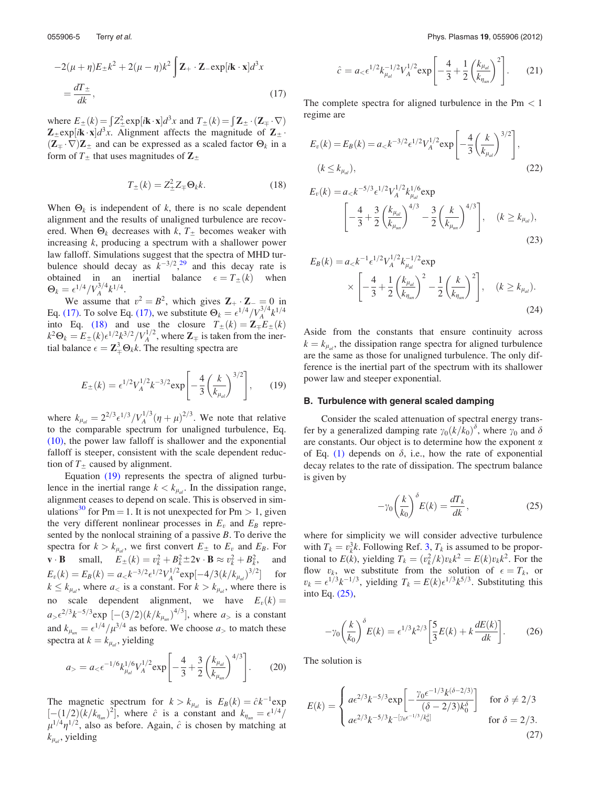<span id="page-5-0"></span>
$$
-2(\mu + \eta)E_{\pm}k^2 + 2(\mu - \eta)k^2 \int \mathbf{Z}_{+} \cdot \mathbf{Z}_{-} \exp[i\mathbf{k} \cdot \mathbf{x}]d^3x
$$

$$
= \frac{dT_{\pm}}{dk},
$$
(17)

where  $E_{\pm}(k) = \int Z_{\pm}^2 \exp[i\mathbf{k} \cdot \mathbf{x}] d^3x$  and  $T_{\pm}(k) = \int Z_{\pm} \cdot (Z_{\mp} \cdot \nabla)$  $\mathbf{Z}_{\pm}$ exp $[i\mathbf{k}\cdot\mathbf{x}]d^3x$ . Alignment affects the magnitude of  $\mathbf{Z}_{\pm}$ .  $(\mathbf{Z}_{\pm} \cdot \nabla) \mathbf{Z}_{\pm}$  and can be expressed as a scaled factor  $\Theta_k$  in a form of  $T_{\pm}$  that uses magnitudes of  $\mathbf{Z}_{\pm}$ 

$$
T_{\pm}(k) = Z_{\pm}^2 Z_{\mp} \Theta_k k. \tag{18}
$$

When  $\Theta_k$  is independent of k, there is no scale dependent alignment and the results of unaligned turbulence are recovered. When  $\Theta_k$  decreases with k,  $T_{\pm}$  becomes weaker with increasing k, producing a spectrum with a shallower power law falloff. Simulations suggest that the spectra of MHD turbulence should decay as  $k^{-3/2}$ ,<sup>[29](#page-10-0)</sup> and this decay rate is obtained in an inertial balance  $\epsilon = T_{\pm}(k)$  when  $\Theta_k = \frac{\epsilon^{1/4}}{V_A^{3/4}} k^{1/4}.$ 

We assume that  $v^2 = B^2$ , which gives  $\mathbf{Z}_+ \cdot \mathbf{Z}_- = 0$  in Eq. [\(17\)](#page-4-0). To solve Eq. (17), we substitute  $\Theta_k = \epsilon^{1/4} / V_A^{3/4} k^{1/4}$ into Eq. (18) and use the closure  $T_{\pm}(k) = \mathbb{Z}_{\mp}E_{\pm}(k)$  $k^2\Theta_k = E_{\pm}(k)\epsilon^{1/2}k^{3/2}/V_A^{1/2}$ , where  $\mathbf{Z}_{\mp}$  is taken from the inertial balance  $\epsilon = \mathbf{Z}_{\mp}^3 \Theta_k k$ . The resulting spectra are

$$
E_{\pm}(k) = \epsilon^{1/2} V_A^{1/2} k^{-3/2} \exp\left[-\frac{4}{3} \left(\frac{k}{k_{\mu_{al}}}\right)^{3/2}\right],\qquad(19)
$$

where  $k_{\mu_{al}} = 2^{2/3} \epsilon^{1/3} / V_A^{1/3} (\eta + \mu)^{2/3}$ . We note that relative to the comparable spectrum for unaligned turbulence, Eq. [\(10\)](#page-4-0), the power law falloff is shallower and the exponential falloff is steeper, consistent with the scale dependent reduction of  $T_{\pm}$  caused by alignment.

Equation (19) represents the spectra of aligned turbulence in the inertial range  $k < k_{\mu_{al}}$ . In the dissipation range, alignment ceases to depend on scale. This is observed in sim-ulations<sup>[30](#page-10-0)</sup> for Pm = 1. It is not unexpected for Pm > 1, given the very different nonlinear processes in  $E<sub>v</sub>$  and  $E<sub>B</sub>$  represented by the nonlocal straining of a passive B. To derive the spectra for  $k > k_{\mu_{nl}}$ , we first convert  $E_{\pm}$  to  $E_v$  and  $E_B$ . For  $\mathbf{v} \cdot \mathbf{B}$  small,  $E_{\pm}(k) = v_k^2 + B_k^2 \pm 2\mathbf{v} \cdot \mathbf{B} \approx v_k^2 + B_k^2$ and  $E_v(k) = E_B(k) = a_{< k^{-3/2} \epsilon^{1/2} V_A^{1/2} \exp[-4/3(k/k_{\mu_{al}})^{3/2}]$  for  $k \leq k_{\mu_{al}}$ , where  $a_{\leq}$  is a constant. For  $k > k_{\mu_{al}}$ , where there is no scale dependent alignment, we have  $E_v(k) =$  $a_{>} \epsilon^{2/3} k^{-5/3} \exp \left[ -(3/2) (k/k_{\mu_{un}})^{4/3} \right]$ , where  $a_{>}$  is a constant and  $k_{\mu_{un}} = \frac{\epsilon^{1/4}}{\mu^{3/4}}$  as before. We choose  $a_{>}$  to match these spectra at  $k = k_{\mu_{nl}}$ , yielding

$$
a_{>} = a_{<} \epsilon^{-1/6} k_{\mu_{al}}^{1/6} V_A^{1/2} \exp\left[-\frac{4}{3} + \frac{3}{2} \left(\frac{k_{\mu_{al}}}{k_{\mu_{un}}}\right)^{4/3}\right].
$$
 (20)

The magnetic spectrum for  $k > k_{\mu_{al}}$  is  $E_B(k) = \hat{c}k^{-1}$ exp  $\left[-\left(1/2\right)\left(k/k_{\eta_{un}}\right)^2\right]$ , where  $\hat{c}$  is a constant and  $k_{\eta_{un}}=\epsilon^{1/4}\right/$  $\mu^{1/4}\eta^{1/2}$ , also as before. Again,  $\hat{c}$  is chosen by matching at  $k_{\mu_{al}}$ , yielding

$$
\hat{c} = a_{<} \epsilon^{1/2} k_{\mu_{al}}^{-1/2} V_A^{1/2} \exp\left[ -\frac{4}{3} + \frac{1}{2} \left( \frac{k_{\mu_{al}}}{k_{\eta_{un}}} \right)^2 \right]. \tag{21}
$$

The complete spectra for aligned turbulence in the  $Pm < 1$ regime are

$$
E_v(k) = E_B(k) = a_< k^{-3/2} \epsilon^{1/2} V_A^{1/2} \exp\left[-\frac{4}{3} \left(\frac{k}{k_{\mu_{al}}}\right)^{3/2}\right],
$$
  
( $k \le k_{\mu_{al}}$ ), (22)

$$
E_v(k) = a_\n(23)
$$

$$
E_B(k) = a_< k^{-1} \epsilon^{1/2} V_A^{1/2} k_{\mu_{al}}^{-1/2} \exp \times \left[ -\frac{4}{3} + \frac{1}{2} \left( \frac{k_{\mu_{al}}}{k_{\eta_{um}}} \right)^2 - \frac{1}{2} \left( \frac{k}{k_{\eta_{um}}} \right)^2 \right], \quad (k \ge k_{\mu_{al}}).
$$
\n(24)

Aside from the constants that ensure continuity across  $k = k_{\mu}$ , the dissipation range spectra for aligned turbulence are the same as those for unaligned turbulence. The only difference is the inertial part of the spectrum with its shallower power law and steeper exponential.

#### B. Turbulence with general scaled damping

Consider the scaled attenuation of spectral energy transfer by a generalized damping rate  $\gamma_0 (k/k_0)^{\delta}$ , where  $\gamma_0$  and  $\delta$ are constants. Our object is to determine how the exponent  $\alpha$ of Eq. [\(1\)](#page-2-0) depends on  $\delta$ , i.e., how the rate of exponential decay relates to the rate of dissipation. The spectrum balance is given by

$$
-\gamma_0 \left(\frac{k}{k_0}\right)^{\delta} E(k) = \frac{dT_k}{dk},\qquad(25)
$$

where for simplicity we will consider advective turbulence with  $T_k = v_k^3 k$  $T_k = v_k^3 k$  $T_k = v_k^3 k$ . Following Ref. 3,  $T_k$  is assumed to be proportional to  $E(k)$ , yielding  $T_k = (v_k^2/k)v_kk^2 = E(k)v_kk^2$ . For the flow  $v_k$ , we substitute from the solution of  $\epsilon = T_k$ , or  $v_k = \epsilon^{1/3} k^{-1/3}$ , yielding  $T_k = E(k) \epsilon^{1/3} k^{5/3}$ . Substituting this into Eq. (25),

$$
-\gamma_0 \left(\frac{k}{k_0}\right)^{\delta} E(k) = \epsilon^{1/3} k^{2/3} \left[\frac{5}{3} E(k) + k \frac{dE(k)}{dk}\right].
$$
 (26)

The solution is

$$
E(k) = \begin{cases} a\epsilon^{2/3}k^{-5/3}\exp\left[-\frac{\gamma_0\epsilon^{-1/3}k^{(\delta-2/3)}}{(\delta-2/3)k_0^{\delta}}\right] & \text{for } \delta \neq 2/3\\ a\epsilon^{2/3}k^{-5/3}k^{-[\gamma_0\epsilon^{-1/3}/k_0^{\delta}]} & \text{for } \delta = 2/3. \end{cases}
$$
(27)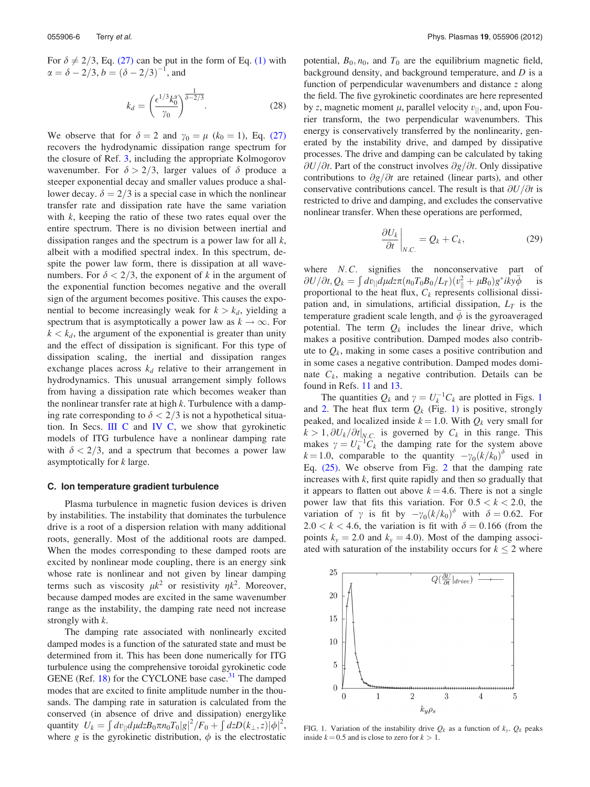For  $\delta \neq 2/3$ , Eq. [\(27\)](#page-5-0) can be put in the form of Eq. [\(1\)](#page-2-0) with  $\alpha = \delta - 2/3, b = (\delta - 2/3)^{-1}$ , and

$$
k_d = \left(\frac{\epsilon^{1/3} k_0^{\alpha}}{\gamma_0}\right)^{\frac{1}{\delta - 2/3}}.\tag{28}
$$

We observe that for  $\delta = 2$  and  $\gamma_0 = \mu$  (k<sub>0</sub> = 1), Eq. [\(27\)](#page-5-0) recovers the hydrodynamic dissipation range spectrum for the closure of Ref. [3,](#page-10-0) including the appropriate Kolmogorov wavenumber. For  $\delta > 2/3$ , larger values of  $\delta$  produce a steeper exponential decay and smaller values produce a shallower decay.  $\delta = 2/3$  is a special case in which the nonlinear transfer rate and dissipation rate have the same variation with k, keeping the ratio of these two rates equal over the entire spectrum. There is no division between inertial and dissipation ranges and the spectrum is a power law for all  $k$ , albeit with a modified spectral index. In this spectrum, despite the power law form, there is dissipation at all wavenumbers. For  $\delta < 2/3$ , the exponent of k in the argument of the exponential function becomes negative and the overall sign of the argument becomes positive. This causes the exponential to become increasingly weak for  $k > k_d$ , yielding a spectrum that is asymptotically a power law as  $k \to \infty$ . For  $k < k_d$ , the argument of the exponential is greater than unity and the effect of dissipation is significant. For this type of dissipation scaling, the inertial and dissipation ranges exchange places across  $k_d$  relative to their arrangement in hydrodynamics. This unusual arrangement simply follows from having a dissipation rate which becomes weaker than the nonlinear transfer rate at high  $k$ . Turbulence with a damping rate corresponding to  $\delta < 2/3$  is not a hypothetical situation. In Secs. III C and IV C, we show that gyrokinetic models of ITG turbulence have a nonlinear damping rate with  $\delta < 2/3$ , and a spectrum that becomes a power law asymptotically for k large.

#### C. Ion temperature gradient turbulence

Plasma turbulence in magnetic fusion devices is driven by instabilities. The instability that dominates the turbulence drive is a root of a dispersion relation with many additional roots, generally. Most of the additional roots are damped. When the modes corresponding to these damped roots are excited by nonlinear mode coupling, there is an energy sink whose rate is nonlinear and not given by linear damping terms such as viscosity  $\mu k^2$  or resistivity  $\eta k^2$ . Moreover, because damped modes are excited in the same wavenumber range as the instability, the damping rate need not increase strongly with  $k$ .

The damping rate associated with nonlinearly excited damped modes is a function of the saturated state and must be determined from it. This has been done numerically for ITG turbulence using the comprehensive toroidal gyrokinetic code GENE (Ref.  $18$ ) for the CYCLONE base case.<sup>31</sup> The damped modes that are excited to finite amplitude number in the thousands. The damping rate in saturation is calculated from the conserved (in absence of drive and dissipation) energylike quantity  $U_k = \int dv_{\parallel} d\mu dz B_0 \pi n_0 T_0 |g|^2 / F_0 + \int dz D(k_{\perp}, z) |\phi|^2$ , where g is the gyrokinetic distribution,  $\phi$  is the electrostatic potential,  $B_0$ ,  $n_0$ , and  $T_0$  are the equilibrium magnetic field, background density, and background temperature, and D is a function of perpendicular wavenumbers and distance z along the field. The five gyrokinetic coordinates are here represented by z, magnetic moment  $\mu$ , parallel velocity  $v_{\parallel}$ , and, upon Fourier transform, the two perpendicular wavenumbers. This energy is conservatively transferred by the nonlinearity, generated by the instability drive, and damped by dissipative processes. The drive and damping can be calculated by taking  $\partial U/\partial t$ . Part of the construct involves  $\partial g/\partial t$ . Only dissipative contributions to  $\partial g/\partial t$  are retained (linear parts), and other conservative contributions cancel. The result is that  $\partial U/\partial t$  is restricted to drive and damping, and excludes the conservative nonlinear transfer. When these operations are performed,

$$
\left. \frac{\partial U_k}{\partial t} \right|_{N.C.} = Q_k + C_k, \tag{29}
$$

where  $N.C.$  signifies the nonconservative part of  $\partial U/\partial t, Q_k = \int dv_{\parallel} d\mu dz \pi (n_0 T_0 B_0/L_T)(v_{\parallel}^2 + \mu B_0)g^* i k y \bar{\phi}$  is proportional to the heat flux,  $C_k$  represents collisional dissipation and, in simulations, artificial dissipation,  $L_T$  is the temperature gradient scale length, and  $\phi$  is the gyroaveraged potential. The term  $Q_k$  includes the linear drive, which makes a positive contribution. Damped modes also contribute to  $Q_k$ , making in some cases a positive contribution and in some cases a negative contribution. Damped modes dominate  $C_k$ , making a negative contribution. Details can be found in Refs. [11](#page-10-0) and [13.](#page-10-0)

The quantities  $Q_k$  and  $\gamma = U_k^{-1}C_k$  are plotted in Figs. 1 and [2](#page-7-0). The heat flux term  $Q_k$  (Fig. 1) is positive, strongly peaked, and localized inside  $k = 1.0$ . With  $Q_k$  very small for  $k > 1, \partial U_k / \partial t |_{N.C.}$  is governed by  $C_k$  in this range. This makes  $\gamma = U_k^{-1} C_k$  the damping rate for the system above  $k = 1.0$ , comparable to the quantity  $-\gamma_0(k/k_0)^\delta$  used in Eq. [\(25\)](#page-5-0). We observe from Fig. [2](#page-7-0) that the damping rate increases with  $k$ , first quite rapidly and then so gradually that it appears to flatten out above  $k = 4.6$ . There is not a single power law that fits this variation. For  $0.5 < k < 2.0$ , the variation of  $\gamma$  is fit by  $-\gamma_0(k/k_0)^{\delta}$  with  $\delta = 0.62$ . For  $2.0 < k < 4.6$ , the variation is fit with  $\delta = 0.166$  (from the points  $k_y = 2.0$  and  $k_y = 4.0$ ). Most of the damping associated with saturation of the instability occurs for  $k \leq 2$  where



FIG. 1. Variation of the instability drive  $Q_k$  as a function of  $k_y$ .  $Q_k$  peaks inside  $k = 0.5$  and is close to zero for  $k > 1$ .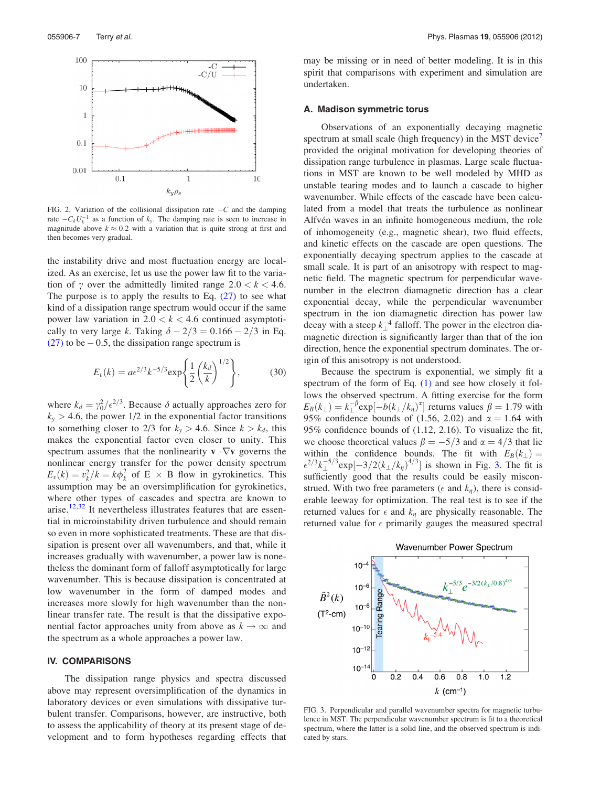<span id="page-7-0"></span>

FIG. 2. Variation of the collisional dissipation rate  $-C$  and the damping rate  $-C_kU_k^{-1}$  as a function of  $k_y$ . The damping rate is seen to increase in magnitude above  $k \approx 0.2$  with a variation that is quite strong at first and then becomes very gradual.

the instability drive and most fluctuation energy are localized. As an exercise, let us use the power law fit to the variation of  $\gamma$  over the admittedly limited range  $2.0 < k < 4.6$ . The purpose is to apply the results to Eq.  $(27)$  to see what kind of a dissipation range spectrum would occur if the same power law variation in  $2.0 < k < 4.6$  continued asymptotically to very large k. Taking  $\delta - 2/3 = 0.166 - 2/3$  in Eq.  $(27)$  to be  $-0.5$ , the dissipation range spectrum is

$$
E_v(k) = a\epsilon^{2/3}k^{-5/3}\exp\left\{\frac{1}{2}\left(\frac{k_d}{k}\right)^{1/2}\right\},
$$
 (30)

where  $k_d = \gamma_0^2 / \epsilon^{2/3}$ . Because  $\delta$  actually approaches zero for  $k_y > 4.6$ , the power 1/2 in the exponential factor transitions to something closer to 2/3 for  $k_y > 4.6$ . Since  $k > k_d$ , this makes the exponential factor even closer to unity. This spectrum assumes that the nonlinearity  $\mathbf{v} \cdot \nabla \mathbf{v}$  governs the nonlinear energy transfer for the power density spectrum  $E_v(k) = v_k^2/k = k\phi_k^2$  of E × B flow in gyrokinetics. This assumption may be an oversimplification for gyrokinetics, where other types of cascades and spectra are known to arise.<sup>[12,32](#page-10-0)</sup> It nevertheless illustrates features that are essential in microinstability driven turbulence and should remain so even in more sophisticated treatments. These are that dissipation is present over all wavenumbers, and that, while it increases gradually with wavenumber, a power law is nonetheless the dominant form of falloff asymptotically for large wavenumber. This is because dissipation is concentrated at low wavenumber in the form of damped modes and increases more slowly for high wavenumber than the nonlinear transfer rate. The result is that the dissipative exponential factor approaches unity from above as  $k \to \infty$  and the spectrum as a whole approaches a power law.

## IV. COMPARISONS

The dissipation range physics and spectra discussed above may represent oversimplification of the dynamics in laboratory devices or even simulations with dissipative turbulent transfer. Comparisons, however, are instructive, both to assess the applicability of theory at its present stage of development and to form hypotheses regarding effects that may be missing or in need of better modeling. It is in this spirit that comparisons with experiment and simulation are undertaken.

#### A. Madison symmetric torus

Observations of an exponentially decaying magnetic spectrum at small scale (high frequency) in the MST device $\prime$ provided the original motivation for developing theories of dissipation range turbulence in plasmas. Large scale fluctuations in MST are known to be well modeled by MHD as unstable tearing modes and to launch a cascade to higher wavenumber. While effects of the cascade have been calculated from a model that treats the turbulence as nonlinear Alfvén waves in an infinite homogeneous medium, the role of inhomogeneity (e.g., magnetic shear), two fluid effects, and kinetic effects on the cascade are open questions. The exponentially decaying spectrum applies to the cascade at small scale. It is part of an anisotropy with respect to magnetic field. The magnetic spectrum for perpendicular wavenumber in the electron diamagnetic direction has a clear exponential decay, while the perpendicular wavenumber spectrum in the ion diamagnetic direction has power law decay with a steep  $k_{\perp}^{-4}$  falloff. The power in the electron diamagnetic direction is significantly larger than that of the ion direction, hence the exponential spectrum dominates. The origin of this anisotropy is not understood.

Because the spectrum is exponential, we simply fit a spectrum of the form of Eq. [\(1\)](#page-2-0) and see how closely it follows the observed spectrum. A fitting exercise for the form  $E_B(k_{\perp}) = k_{\perp}^{-\beta} \exp[-b(k_{\perp}/k_{\eta})^{\alpha}]$  returns values  $\beta = 1.79$  with 95% confidence bounds of (1.56, 2.02) and  $\alpha = 1.64$  with 95% confidence bounds of (1.12, 2.16). To visualize the fit, we choose theoretical values  $\beta = -5/3$  and  $\alpha = 4/3$  that lie within the confidence bounds. The fit with  $E_B(k_{\perp}) =$  $\epsilon^{2/3} k_{\perp}^{-5/3} \exp[-3/2(k_{\perp}/k_{\eta})^{4/3}]$  is shown in Fig. 3. The fit is sufficiently good that the results could be easily misconstrued. With two free parameters ( $\epsilon$  and  $k_n$ ), there is considerable leeway for optimization. The real test is to see if the returned values for  $\epsilon$  and  $k_{\eta}$  are physically reasonable. The returned value for  $\epsilon$  primarily gauges the measured spectral



FIG. 3. Perpendicular and parallel wavenumber spectra for magnetic turbulence in MST. The perpendicular wavenumber spectrum is fit to a theoretical spectrum, where the latter is a solid line, and the observed spectrum is indicated by stars.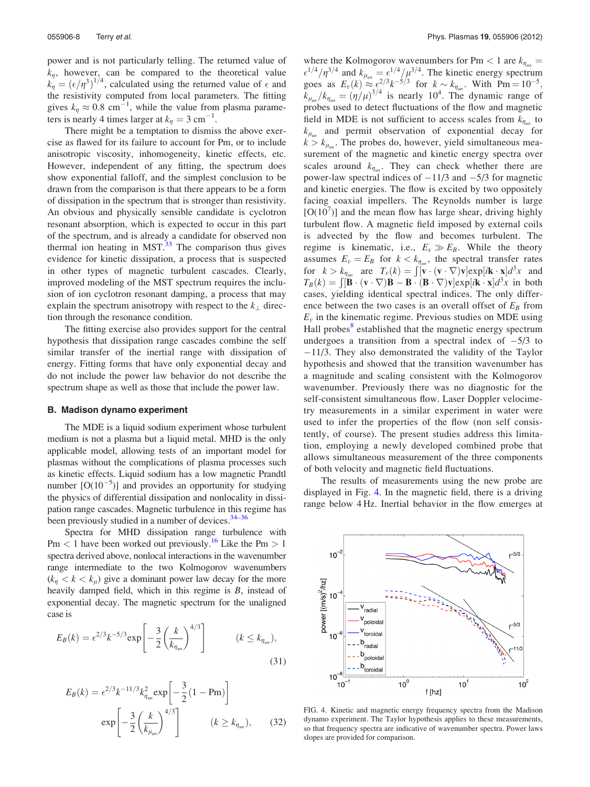power and is not particularly telling. The returned value of  $k_n$ , however, can be compared to the theoretical value  $k_n = (\epsilon/\eta^3)^{1/4}$ , calculated using the returned value of  $\epsilon$  and the resistivity computed from local parameters. The fitting gives  $k_{\eta} \approx 0.8$  cm<sup>-1</sup>, while the value from plasma parameters is nearly 4 times larger at  $k_n = 3$  cm<sup>-1</sup>.

There might be a temptation to dismiss the above exercise as flawed for its failure to account for Pm, or to include anisotropic viscosity, inhomogeneity, kinetic effects, etc. However, independent of any fitting, the spectrum does show exponential falloff, and the simplest conclusion to be drawn from the comparison is that there appears to be a form of dissipation in the spectrum that is stronger than resistivity. An obvious and physically sensible candidate is cyclotron resonant absorption, which is expected to occur in this part of the spectrum, and is already a candidate for observed non thermal ion heating in MST. $^{33}$  $^{33}$  $^{33}$  The comparison thus gives evidence for kinetic dissipation, a process that is suspected in other types of magnetic turbulent cascades. Clearly, improved modeling of the MST spectrum requires the inclusion of ion cyclotron resonant damping, a process that may explain the spectrum anisotropy with respect to the  $k_{\perp}$  direction through the resonance condition.

The fitting exercise also provides support for the central hypothesis that dissipation range cascades combine the self similar transfer of the inertial range with dissipation of energy. Fitting forms that have only exponential decay and do not include the power law behavior do not describe the spectrum shape as well as those that include the power law.

#### B. Madison dynamo experiment

The MDE is a liquid sodium experiment whose turbulent medium is not a plasma but a liquid metal. MHD is the only applicable model, allowing tests of an important model for plasmas without the complications of plasma processes such as kinetic effects. Liquid sodium has a low magnetic Prandtl number  $[O(10^{-5})]$  and provides an opportunity for studying the physics of differential dissipation and nonlocality in dissipation range cascades. Magnetic turbulence in this regime has been previously studied in a number of devices.<sup>34–[36](#page-10-0)</sup>

Spectra for MHD dissipation range turbulence with Pm  $<$  1 have been worked out previously.<sup>16</sup> Like the Pm  $>$  1 spectra derived above, nonlocal interactions in the wavenumber range intermediate to the two Kolmogorov wavenumbers  $(k_n < k < k_u)$  give a dominant power law decay for the more heavily damped field, which in this regime is B, instead of exponential decay. The magnetic spectrum for the unaligned case is

$$
E_B(k) = \epsilon^{2/3} k^{-5/3} \exp\left[-\frac{3}{2} \left(\frac{k}{k_{\eta_{un}}}\right)^{4/3}\right] \qquad (k \le k_{\eta_{un}}),
$$
\n(31)

$$
E_B(k) = \epsilon^{2/3} k^{-11/3} k_{\eta_{un}}^2 \exp\left[-\frac{3}{2} (1 - Pm)\right]
$$

$$
\exp\left[-\frac{3}{2} \left(\frac{k}{k_{\mu_{un}}}\right)^{4/3}\right] \qquad (k \ge k_{\eta_{un}}), \qquad (32)
$$

where the Kolmogorov wavenumbers for Pm  $< 1$  are  $k_{\eta_{un}} =$  $\epsilon^{1/4}/\eta^{3/4}$  and  $k_{\mu_{un}} = \epsilon^{1/4}/\mu^{3/4}$ . The kinetic energy spectrum goes as  $E_v(k) \approx \frac{\varepsilon^{2/3} k^{-5/3}}{3/4}$  for  $k \sim k_{\eta_{un}}$ . With Pm =  $10^{-5}$ ,  $k_{\mu_{un}}/k_{\eta_{un}} = (\eta/\mu)^{3/4}$  is nearly 10<sup>4</sup>. The dynamic range of probes used to detect fluctuations of the flow and magnetic field in MDE is not sufficient to access scales from  $k_{\eta_{\mu\nu}}$  to  $k_{\mu_{un}}$  and permit observation of exponential decay for  $k > k_{\mu_{\mu_{\mu}}}$ . The probes do, however, yield simultaneous measurement of the magnetic and kinetic energy spectra over scales around  $k_{\eta_{\mu\nu}}$ . They can check whether there are power-law spectral indices of  $-11/3$  and  $-5/3$  for magnetic and kinetic energies. The flow is excited by two oppositely facing coaxial impellers. The Reynolds number is large  $[O(10^7)]$  and the mean flow has large shear, driving highly turbulent flow. A magnetic field imposed by external coils is advected by the flow and becomes turbulent. The regime is kinematic, i.e.,  $E_v \gg E_B$ . While the theory assumes  $E_v = E_B$  for  $k < k_{\eta_{un}}$ , the spectral transfer rates for  $k > k_{\eta_{um}}$  are  $T_v(k) = \int_{-\infty}^{\infty} \left( \mathbf{v} \cdot \nabla \right) \mathbf{v} \bigg| \exp[i\mathbf{k} \cdot \mathbf{x}] d^3x$  and  $T_B(k) = \int_{-\infty}^{\infty} \mathbf{B} \cdot (\mathbf{v} \cdot \nabla) \mathbf{B} - \mathbf{B} \cdot (\mathbf{B} \cdot \nabla) \mathbf{v} \big| \exp[i\mathbf{k} \cdot \mathbf{x}] d^3x$  in both cases, yielding identical spectral indices. The only difference between the two cases is an overall offset of  $E_B$  from  $E<sub>v</sub>$  in the kinematic regime. Previous studies on MDE using Hall probes<sup>[8](#page-10-0)</sup> established that the magnetic energy spectrum undergoes a transition from a spectral index of  $-5/3$  to  $-11/3$ . They also demonstrated the validity of the Taylor hypothesis and showed that the transition wavenumber has a magnitude and scaling consistent with the Kolmogorov wavenumber. Previously there was no diagnostic for the self-consistent simultaneous flow. Laser Doppler velocimetry measurements in a similar experiment in water were used to infer the properties of the flow (non self consistently, of course). The present studies address this limitation, employing a newly developed combined probe that allows simultaneous measurement of the three components of both velocity and magnetic field fluctuations.

The results of measurements using the new probe are displayed in Fig. 4. In the magnetic field, there is a driving range below 4 Hz. Inertial behavior in the flow emerges at



FIG. 4. Kinetic and magnetic energy frequency spectra from the Madison dynamo experiment. The Taylor hypothesis applies to these measurements, so that frequency spectra are indicative of wavenumber spectra. Power laws slopes are provided for comparison.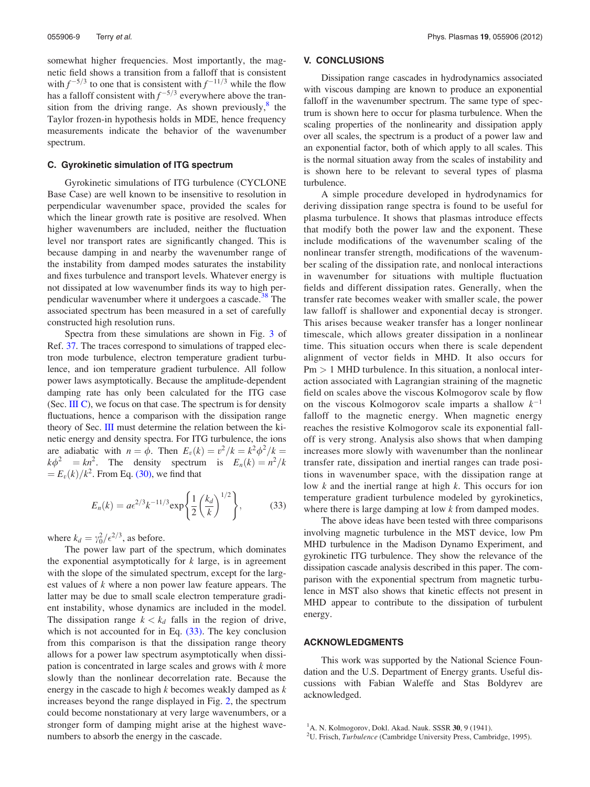<span id="page-9-0"></span>somewhat higher frequencies. Most importantly, the magnetic field shows a transition from a falloff that is consistent with  $f^{-5/3}$  to one that is consistent with  $f^{-11/3}$  while the flow has a falloff consistent with  $f^{-5/3}$  everywhere above the transition from the driving range. As shown previously, $\frac{8}{3}$  $\frac{8}{3}$  $\frac{8}{3}$  the Taylor frozen-in hypothesis holds in MDE, hence frequency measurements indicate the behavior of the wavenumber spectrum.

#### C. Gyrokinetic simulation of ITG spectrum

Gyrokinetic simulations of ITG turbulence (CYCLONE Base Case) are well known to be insensitive to resolution in perpendicular wavenumber space, provided the scales for which the linear growth rate is positive are resolved. When higher wavenumbers are included, neither the fluctuation level nor transport rates are significantly changed. This is because damping in and nearby the wavenumber range of the instability from damped modes saturates the instability and fixes turbulence and transport levels. Whatever energy is not dissipated at low wavenumber finds its way to high per-pendicular wavenumber where it undergoes a cascade.<sup>[38](#page-10-0)</sup> The associated spectrum has been measured in a set of carefully constructed high resolution runs.

Spectra from these simulations are shown in Fig. [3](#page-7-0) of Ref. [37](#page-10-0). The traces correspond to simulations of trapped electron mode turbulence, electron temperature gradient turbulence, and ion temperature gradient turbulence. All follow power laws asymptotically. Because the amplitude-dependent damping rate has only been calculated for the ITG case (Sec. III C), we focus on that case. The spectrum is for density fluctuations, hence a comparison with the dissipation range theory of Sec. [III](#page-3-0) must determine the relation between the kinetic energy and density spectra. For ITG turbulence, the ions are adiabatic with  $n = \phi$ . Then  $E_v(k) = v^2/k = k^2 \phi^2/k =$  $k\phi^2 = kn^2$ . The density spectrum is  $E_n(k) = n^2/k$  $=E_v(k)/k^2$ . From Eq. [\(30\)](#page-7-0), we find that

$$
E_n(k) = a\epsilon^{2/3}k^{-11/3}\exp\left\{\frac{1}{2}\left(\frac{k_d}{k}\right)^{1/2}\right\},
$$
 (33)

where  $k_d = \gamma_0^2 / \epsilon^{2/3}$ , as before.

The power law part of the spectrum, which dominates the exponential asymptotically for  $k$  large, is in agreement with the slope of the simulated spectrum, except for the largest values of k where a non power law feature appears. The latter may be due to small scale electron temperature gradient instability, whose dynamics are included in the model. The dissipation range  $k < k_d$  falls in the region of drive, which is not accounted for in Eq.  $(33)$ . The key conclusion from this comparison is that the dissipation range theory allows for a power law spectrum asymptotically when dissipation is concentrated in large scales and grows with  $k$  more slowly than the nonlinear decorrelation rate. Because the energy in the cascade to high  $k$  becomes weakly damped as  $k$ increases beyond the range displayed in Fig. [2](#page-7-0), the spectrum could become nonstationary at very large wavenumbers, or a stronger form of damping might arise at the highest wavenumbers to absorb the energy in the cascade.

#### V. CONCLUSIONS

Dissipation range cascades in hydrodynamics associated with viscous damping are known to produce an exponential falloff in the wavenumber spectrum. The same type of spectrum is shown here to occur for plasma turbulence. When the scaling properties of the nonlinearity and dissipation apply over all scales, the spectrum is a product of a power law and an exponential factor, both of which apply to all scales. This is the normal situation away from the scales of instability and is shown here to be relevant to several types of plasma turbulence.

A simple procedure developed in hydrodynamics for deriving dissipation range spectra is found to be useful for plasma turbulence. It shows that plasmas introduce effects that modify both the power law and the exponent. These include modifications of the wavenumber scaling of the nonlinear transfer strength, modifications of the wavenumber scaling of the dissipation rate, and nonlocal interactions in wavenumber for situations with multiple fluctuation fields and different dissipation rates. Generally, when the transfer rate becomes weaker with smaller scale, the power law falloff is shallower and exponential decay is stronger. This arises because weaker transfer has a longer nonlinear timescale, which allows greater dissipation in a nonlinear time. This situation occurs when there is scale dependent alignment of vector fields in MHD. It also occurs for  $Pm > 1$  MHD turbulence. In this situation, a nonlocal interaction associated with Lagrangian straining of the magnetic field on scales above the viscous Kolmogorov scale by flow on the viscous Kolmogorov scale imparts a shallow  $k^{-1}$ falloff to the magnetic energy. When magnetic energy reaches the resistive Kolmogorov scale its exponential falloff is very strong. Analysis also shows that when damping increases more slowly with wavenumber than the nonlinear transfer rate, dissipation and inertial ranges can trade positions in wavenumber space, with the dissipation range at low  $k$  and the inertial range at high  $k$ . This occurs for ion temperature gradient turbulence modeled by gyrokinetics, where there is large damping at low  $k$  from damped modes.

The above ideas have been tested with three comparisons involving magnetic turbulence in the MST device, low Pm MHD turbulence in the Madison Dynamo Experiment, and gyrokinetic ITG turbulence. They show the relevance of the dissipation cascade analysis described in this paper. The comparison with the exponential spectrum from magnetic turbulence in MST also shows that kinetic effects not present in MHD appear to contribute to the dissipation of turbulent energy.

## ACKNOWLEDGMENTS

This work was supported by the National Science Foundation and the U.S. Department of Energy grants. Useful discussions with Fabian Waleffe and Stas Boldyrev are acknowledged.

<sup>&</sup>lt;sup>1</sup> A. N. Kolmogorov, Dokl. Akad. Nauk. SSSR 30, 9 (1941).<br><sup>2</sup>U. Frisch *Turbulance* (Cambridge University Press. Camb

<sup>&</sup>lt;sup>2</sup>U. Frisch, Turbulence (Cambridge University Press, Cambridge, 1995).